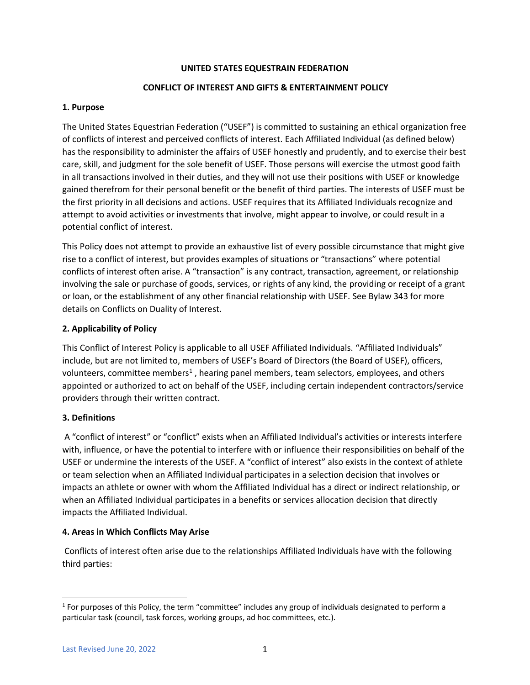### **UNITED STATES EQUESTRAIN FEDERATION**

#### **CONFLICT OF INTEREST AND GIFTS & ENTERTAINMENT POLICY**

### **1. Purpose**

The United States Equestrian Federation ("USEF") is committed to sustaining an ethical organization free of conflicts of interest and perceived conflicts of interest. Each Affiliated Individual (as defined below) has the responsibility to administer the affairs of USEF honestly and prudently, and to exercise their best care, skill, and judgment for the sole benefit of USEF. Those persons will exercise the utmost good faith in all transactions involved in their duties, and they will not use their positions with USEF or knowledge gained therefrom for their personal benefit or the benefit of third parties. The interests of USEF must be the first priority in all decisions and actions. USEF requires that its Affiliated Individuals recognize and attempt to avoid activities or investments that involve, might appear to involve, or could result in a potential conflict of interest.

This Policy does not attempt to provide an exhaustive list of every possible circumstance that might give rise to a conflict of interest, but provides examples of situations or "transactions" where potential conflicts of interest often arise. A "transaction" is any contract, transaction, agreement, or relationship involving the sale or purchase of goods, services, or rights of any kind, the providing or receipt of a grant or loan, or the establishment of any other financial relationship with USEF. See Bylaw 343 for more details on Conflicts on Duality of Interest.

### **2. Applicability of Policy**

This Conflict of Interest Policy is applicable to all USEF Affiliated Individuals. "Affiliated Individuals" include, but are not limited to, members of USEF's Board of Directors (the Board of USEF), officers, volunteers, committee members<sup>1</sup>, hearing panel members, team selectors, employees, and others appointed or authorized to act on behalf of the USEF, including certain independent contractors/service providers through their written contract.

### **3. Definitions**

A "conflict of interest" or "conflict" exists when an Affiliated Individual's activities or interests interfere with, influence, or have the potential to interfere with or influence their responsibilities on behalf of the USEF or undermine the interests of the USEF. A "conflict of interest" also exists in the context of athlete or team selection when an Affiliated Individual participates in a selection decision that involves or impacts an athlete or owner with whom the Affiliated Individual has a direct or indirect relationship, or when an Affiliated Individual participates in a benefits or services allocation decision that directly impacts the Affiliated Individual.

### **4. Areas in Which Conflicts May Arise**

Conflicts of interest often arise due to the relationships Affiliated Individuals have with the following third parties:

 $1$  For purposes of this Policy, the term "committee" includes any group of individuals designated to perform a particular task (council, task forces, working groups, ad hoc committees, etc.).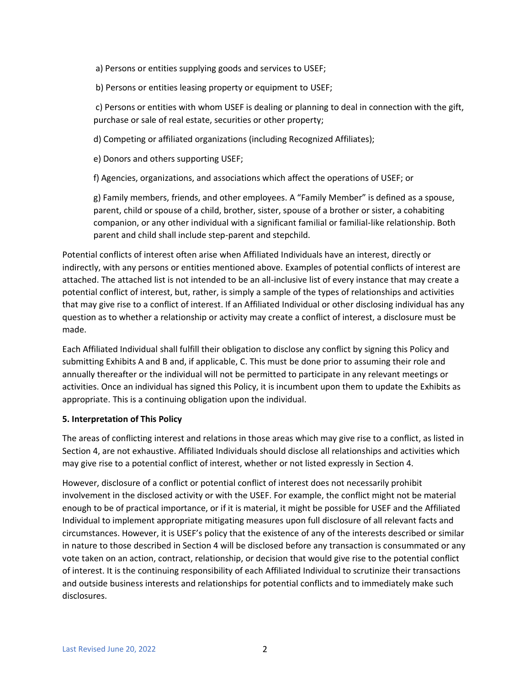a) Persons or entities supplying goods and services to USEF;

b) Persons or entities leasing property or equipment to USEF;

c) Persons or entities with whom USEF is dealing or planning to deal in connection with the gift, purchase or sale of real estate, securities or other property;

d) Competing or affiliated organizations (including Recognized Affiliates);

e) Donors and others supporting USEF;

f) Agencies, organizations, and associations which affect the operations of USEF; or

g) Family members, friends, and other employees. A "Family Member" is defined as a spouse, parent, child or spouse of a child, brother, sister, spouse of a brother or sister, a cohabiting companion, or any other individual with a significant familial or familial-like relationship. Both parent and child shall include step-parent and stepchild.

Potential conflicts of interest often arise when Affiliated Individuals have an interest, directly or indirectly, with any persons or entities mentioned above. Examples of potential conflicts of interest are attached. The attached list is not intended to be an all-inclusive list of every instance that may create a potential conflict of interest, but, rather, is simply a sample of the types of relationships and activities that may give rise to a conflict of interest. If an Affiliated Individual or other disclosing individual has any question as to whether a relationship or activity may create a conflict of interest, a disclosure must be made.

Each Affiliated Individual shall fulfill their obligation to disclose any conflict by signing this Policy and submitting Exhibits A and B and, if applicable, C. This must be done prior to assuming their role and annually thereafter or the individual will not be permitted to participate in any relevant meetings or activities. Once an individual has signed this Policy, it is incumbent upon them to update the Exhibits as appropriate. This is a continuing obligation upon the individual.

### **5. Interpretation of This Policy**

The areas of conflicting interest and relations in those areas which may give rise to a conflict, as listed in Section 4, are not exhaustive. Affiliated Individuals should disclose all relationships and activities which may give rise to a potential conflict of interest, whether or not listed expressly in Section 4.

However, disclosure of a conflict or potential conflict of interest does not necessarily prohibit involvement in the disclosed activity or with the USEF. For example, the conflict might not be material enough to be of practical importance, or if it is material, it might be possible for USEF and the Affiliated Individual to implement appropriate mitigating measures upon full disclosure of all relevant facts and circumstances. However, it is USEF's policy that the existence of any of the interests described or similar in nature to those described in Section 4 will be disclosed before any transaction is consummated or any vote taken on an action, contract, relationship, or decision that would give rise to the potential conflict of interest. It is the continuing responsibility of each Affiliated Individual to scrutinize their transactions and outside business interests and relationships for potential conflicts and to immediately make such disclosures.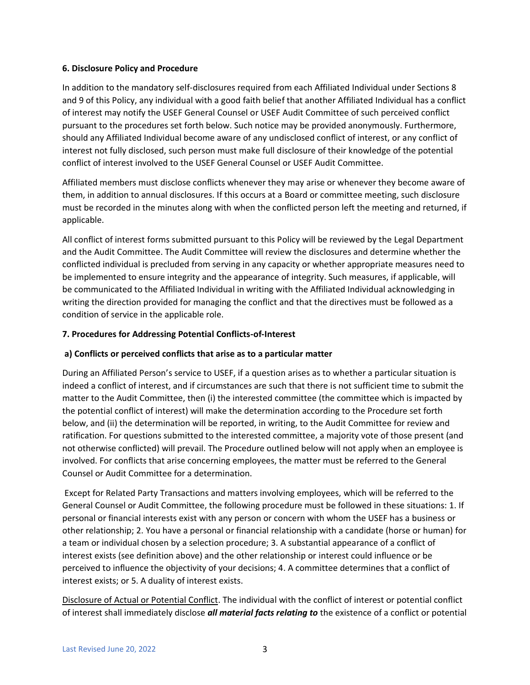### **6. Disclosure Policy and Procedure**

In addition to the mandatory self-disclosures required from each Affiliated Individual under Sections 8 and 9 of this Policy, any individual with a good faith belief that another Affiliated Individual has a conflict of interest may notify the USEF General Counsel or USEF Audit Committee of such perceived conflict pursuant to the procedures set forth below. Such notice may be provided anonymously. Furthermore, should any Affiliated Individual become aware of any undisclosed conflict of interest, or any conflict of interest not fully disclosed, such person must make full disclosure of their knowledge of the potential conflict of interest involved to the USEF General Counsel or USEF Audit Committee.

Affiliated members must disclose conflicts whenever they may arise or whenever they become aware of them, in addition to annual disclosures. If this occurs at a Board or committee meeting, such disclosure must be recorded in the minutes along with when the conflicted person left the meeting and returned, if applicable.

All conflict of interest forms submitted pursuant to this Policy will be reviewed by the Legal Department and the Audit Committee. The Audit Committee will review the disclosures and determine whether the conflicted individual is precluded from serving in any capacity or whether appropriate measures need to be implemented to ensure integrity and the appearance of integrity. Such measures, if applicable, will be communicated to the Affiliated Individual in writing with the Affiliated Individual acknowledging in writing the direction provided for managing the conflict and that the directives must be followed as a condition of service in the applicable role.

### **7. Procedures for Addressing Potential Conflicts-of-Interest**

### **a) Conflicts or perceived conflicts that arise as to a particular matter**

During an Affiliated Person's service to USEF, if a question arises as to whether a particular situation is indeed a conflict of interest, and if circumstances are such that there is not sufficient time to submit the matter to the Audit Committee, then (i) the interested committee (the committee which is impacted by the potential conflict of interest) will make the determination according to the Procedure set forth below, and (ii) the determination will be reported, in writing, to the Audit Committee for review and ratification. For questions submitted to the interested committee, a majority vote of those present (and not otherwise conflicted) will prevail. The Procedure outlined below will not apply when an employee is involved. For conflicts that arise concerning employees, the matter must be referred to the General Counsel or Audit Committee for a determination.

Except for Related Party Transactions and matters involving employees, which will be referred to the General Counsel or Audit Committee, the following procedure must be followed in these situations: 1. If personal or financial interests exist with any person or concern with whom the USEF has a business or other relationship; 2. You have a personal or financial relationship with a candidate (horse or human) for a team or individual chosen by a selection procedure; 3. A substantial appearance of a conflict of interest exists (see definition above) and the other relationship or interest could influence or be perceived to influence the objectivity of your decisions; 4. A committee determines that a conflict of interest exists; or 5. A duality of interest exists.

Disclosure of Actual or Potential Conflict. The individual with the conflict of interest or potential conflict of interest shall immediately disclose *all material facts relating to* the existence of a conflict or potential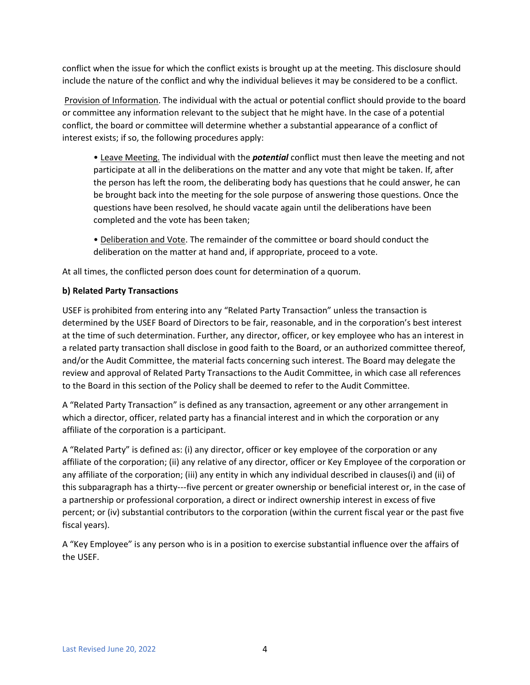conflict when the issue for which the conflict exists is brought up at the meeting. This disclosure should include the nature of the conflict and why the individual believes it may be considered to be a conflict.

Provision of Information. The individual with the actual or potential conflict should provide to the board or committee any information relevant to the subject that he might have. In the case of a potential conflict, the board or committee will determine whether a substantial appearance of a conflict of interest exists; if so, the following procedures apply:

• Leave Meeting. The individual with the *potential* conflict must then leave the meeting and not participate at all in the deliberations on the matter and any vote that might be taken. If, after the person has left the room, the deliberating body has questions that he could answer, he can be brought back into the meeting for the sole purpose of answering those questions. Once the questions have been resolved, he should vacate again until the deliberations have been completed and the vote has been taken;

• Deliberation and Vote. The remainder of the committee or board should conduct the deliberation on the matter at hand and, if appropriate, proceed to a vote.

At all times, the conflicted person does count for determination of a quorum.

### **b) Related Party Transactions**

USEF is prohibited from entering into any "Related Party Transaction" unless the transaction is determined by the USEF Board of Directors to be fair, reasonable, and in the corporation's best interest at the time of such determination. Further, any director, officer, or key employee who has an interest in a related party transaction shall disclose in good faith to the Board, or an authorized committee thereof, and/or the Audit Committee, the material facts concerning such interest. The Board may delegate the review and approval of Related Party Transactions to the Audit Committee, in which case all references to the Board in this section of the Policy shall be deemed to refer to the Audit Committee.

A "Related Party Transaction" is defined as any transaction, agreement or any other arrangement in which a director, officer, related party has a financial interest and in which the corporation or any affiliate of the corporation is a participant.

A "Related Party" is defined as: (i) any director, officer or key employee of the corporation or any affiliate of the corporation; (ii) any relative of any director, officer or Key Employee of the corporation or any affiliate of the corporation; (iii) any entity in which any individual described in clauses(i) and (ii) of this subparagraph has a thirty---five percent or greater ownership or beneficial interest or, in the case of a partnership or professional corporation, a direct or indirect ownership interest in excess of five percent; or (iv) substantial contributors to the corporation (within the current fiscal year or the past five fiscal years).

A "Key Employee" is any person who is in a position to exercise substantial influence over the affairs of the USEF.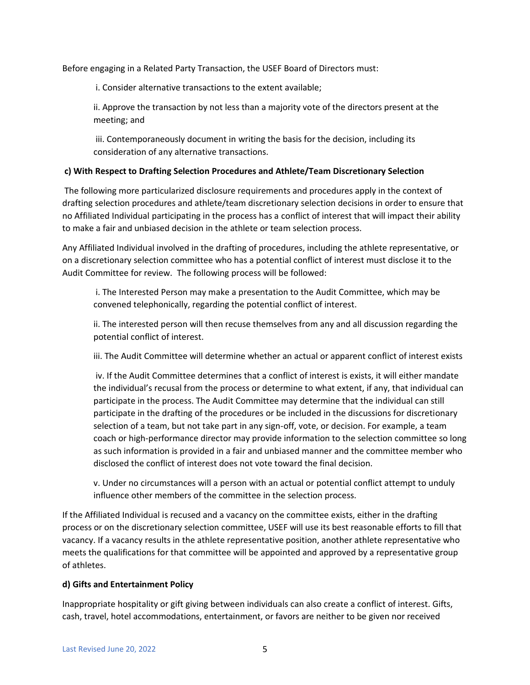Before engaging in a Related Party Transaction, the USEF Board of Directors must:

i. Consider alternative transactions to the extent available;

ii. Approve the transaction by not less than a majority vote of the directors present at the meeting; and

iii. Contemporaneously document in writing the basis for the decision, including its consideration of any alternative transactions.

## **c) With Respect to Drafting Selection Procedures and Athlete/Team Discretionary Selection**

The following more particularized disclosure requirements and procedures apply in the context of drafting selection procedures and athlete/team discretionary selection decisions in order to ensure that no Affiliated Individual participating in the process has a conflict of interest that will impact their ability to make a fair and unbiased decision in the athlete or team selection process.

Any Affiliated Individual involved in the drafting of procedures, including the athlete representative, or on a discretionary selection committee who has a potential conflict of interest must disclose it to the Audit Committee for review. The following process will be followed:

i. The Interested Person may make a presentation to the Audit Committee, which may be convened telephonically, regarding the potential conflict of interest.

ii. The interested person will then recuse themselves from any and all discussion regarding the potential conflict of interest.

iii. The Audit Committee will determine whether an actual or apparent conflict of interest exists

iv. If the Audit Committee determines that a conflict of interest is exists, it will either mandate the individual's recusal from the process or determine to what extent, if any, that individual can participate in the process. The Audit Committee may determine that the individual can still participate in the drafting of the procedures or be included in the discussions for discretionary selection of a team, but not take part in any sign-off, vote, or decision. For example, a team coach or high-performance director may provide information to the selection committee so long as such information is provided in a fair and unbiased manner and the committee member who disclosed the conflict of interest does not vote toward the final decision.

v. Under no circumstances will a person with an actual or potential conflict attempt to unduly influence other members of the committee in the selection process.

If the Affiliated Individual is recused and a vacancy on the committee exists, either in the drafting process or on the discretionary selection committee, USEF will use its best reasonable efforts to fill that vacancy. If a vacancy results in the athlete representative position, another athlete representative who meets the qualifications for that committee will be appointed and approved by a representative group of athletes.

## **d) Gifts and Entertainment Policy**

Inappropriate hospitality or gift giving between individuals can also create a conflict of interest. Gifts, cash, travel, hotel accommodations, entertainment, or favors are neither to be given nor received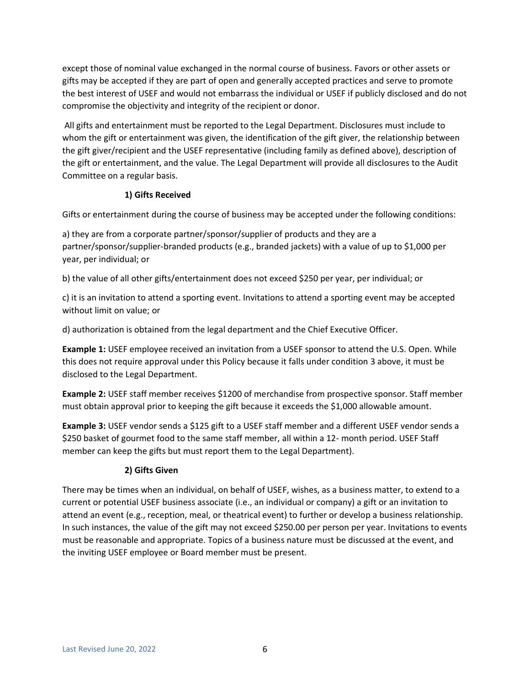except those of nominal value exchanged in the normal course of business. Favors or other assets or gifts may be accepted if they are part of open and generally accepted practices and serve to promote the best interest of USEF and would not embarrass the individual or USEF if publicly disclosed and do not compromise the objectivity and integrity of the recipient or donor.

All gifts and entertainment must be reported to the Legal Department. Disclosures must include to whom the gift or entertainment was given, the identification of the gift giver, the relationship between the gift giver/recipient and the USEF representative (including family as defined above), description of the gift or entertainment, and the value. The Legal Department will provide all disclosures to the Audit Committee on a regular basis.

# **1) Gifts Received**

Gifts or entertainment during the course of business may be accepted under the following conditions:

a) they are from a corporate partner/sponsor/supplier of products and they are a partner/sponsor/supplier-branded products (e.g., branded jackets) with a value of up to \$1,000 per year, per individual; or

b) the value of all other gifts/entertainment does not exceed \$250 per year, per individual; or

c) it is an invitation to attend a sporting event. Invitations to attend a sporting event may be accepted without limit on value; or

d) authorization is obtained from the legal department and the Chief Executive Officer.

**Example 1:** USEF employee received an invitation from a USEF sponsor to attend the U.S. Open. While this does not require approval under this Policy because it falls under condition 3 above, it must be disclosed to the Legal Department.

**Example 2:** USEF staff member receives \$1200 of merchandise from prospective sponsor. Staff member must obtain approval prior to keeping the gift because it exceeds the \$1,000 allowable amount.

**Example 3:** USEF vendor sends a \$125 gift to a USEF staff member and a different USEF vendor sends a \$250 basket of gourmet food to the same staff member, all within a 12- month period. USEF Staff member can keep the gifts but must report them to the Legal Department).

# **2) Gifts Given**

There may be times when an individual, on behalf of USEF, wishes, as a business matter, to extend to a current or potential USEF business associate (i.e., an individual or company) a gift or an invitation to attend an event (e.g., reception, meal, or theatrical event) to further or develop a business relationship. In such instances, the value of the gift may not exceed \$250.00 per person per year. Invitations to events must be reasonable and appropriate. Topics of a business nature must be discussed at the event, and the inviting USEF employee or Board member must be present.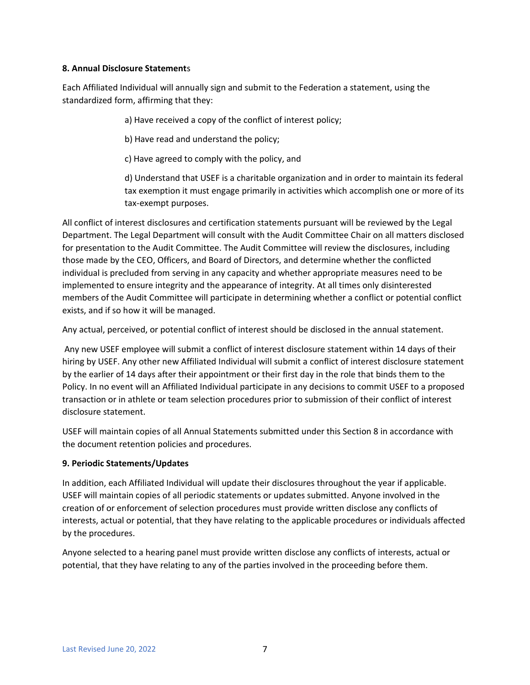### **8. Annual Disclosure Statement**s

Each Affiliated Individual will annually sign and submit to the Federation a statement, using the standardized form, affirming that they:

a) Have received a copy of the conflict of interest policy;

b) Have read and understand the policy;

c) Have agreed to comply with the policy, and

d) Understand that USEF is a charitable organization and in order to maintain its federal tax exemption it must engage primarily in activities which accomplish one or more of its tax-exempt purposes.

All conflict of interest disclosures and certification statements pursuant will be reviewed by the Legal Department. The Legal Department will consult with the Audit Committee Chair on all matters disclosed for presentation to the Audit Committee. The Audit Committee will review the disclosures, including those made by the CEO, Officers, and Board of Directors, and determine whether the conflicted individual is precluded from serving in any capacity and whether appropriate measures need to be implemented to ensure integrity and the appearance of integrity. At all times only disinterested members of the Audit Committee will participate in determining whether a conflict or potential conflict exists, and if so how it will be managed.

Any actual, perceived, or potential conflict of interest should be disclosed in the annual statement.

Any new USEF employee will submit a conflict of interest disclosure statement within 14 days of their hiring by USEF. Any other new Affiliated Individual will submit a conflict of interest disclosure statement by the earlier of 14 days after their appointment or their first day in the role that binds them to the Policy. In no event will an Affiliated Individual participate in any decisions to commit USEF to a proposed transaction or in athlete or team selection procedures prior to submission of their conflict of interest disclosure statement.

USEF will maintain copies of all Annual Statements submitted under this Section 8 in accordance with the document retention policies and procedures.

## **9. Periodic Statements/Updates**

In addition, each Affiliated Individual will update their disclosures throughout the year if applicable. USEF will maintain copies of all periodic statements or updates submitted. Anyone involved in the creation of or enforcement of selection procedures must provide written disclose any conflicts of interests, actual or potential, that they have relating to the applicable procedures or individuals affected by the procedures.

Anyone selected to a hearing panel must provide written disclose any conflicts of interests, actual or potential, that they have relating to any of the parties involved in the proceeding before them.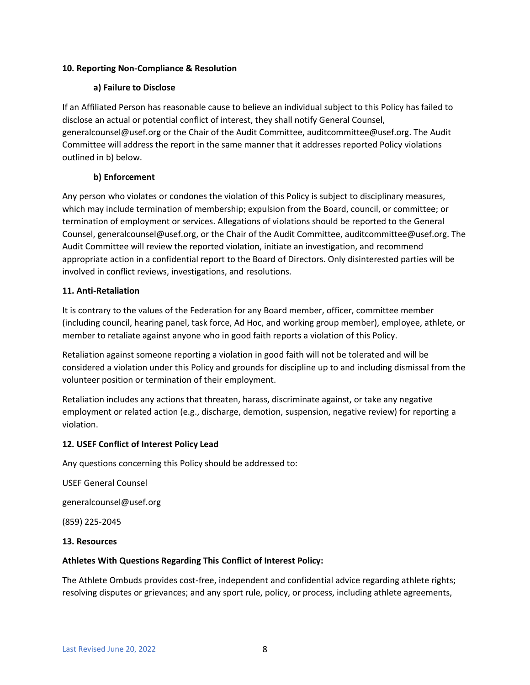### **10. Reporting Non-Compliance & Resolution**

### **a) Failure to Disclose**

If an Affiliated Person has reasonable cause to believe an individual subject to this Policy has failed to disclose an actual or potential conflict of interest, they shall notify General Counsel, generalcounsel@usef.org or the Chair of the Audit Committee, auditcommittee@usef.org. The Audit Committee will address the report in the same manner that it addresses reported Policy violations outlined in b) below.

### **b) Enforcement**

Any person who violates or condones the violation of this Policy is subject to disciplinary measures, which may include termination of membership; expulsion from the Board, council, or committee; or termination of employment or services. Allegations of violations should be reported to the General Counsel, generalcounsel@usef.org, or the Chair of the Audit Committee, auditcommittee@usef.org. The Audit Committee will review the reported violation, initiate an investigation, and recommend appropriate action in a confidential report to the Board of Directors. Only disinterested parties will be involved in conflict reviews, investigations, and resolutions.

### **11. Anti-Retaliation**

It is contrary to the values of the Federation for any Board member, officer, committee member (including council, hearing panel, task force, Ad Hoc, and working group member), employee, athlete, or member to retaliate against anyone who in good faith reports a violation of this Policy.

Retaliation against someone reporting a violation in good faith will not be tolerated and will be considered a violation under this Policy and grounds for discipline up to and including dismissal from the volunteer position or termination of their employment.

Retaliation includes any actions that threaten, harass, discriminate against, or take any negative employment or related action (e.g., discharge, demotion, suspension, negative review) for reporting a violation.

### **12. USEF Conflict of Interest Policy Lead**

Any questions concerning this Policy should be addressed to:

USEF General Counsel

generalcounsel@usef.org

(859) 225-2045

#### **13. Resources**

### **Athletes With Questions Regarding This Conflict of Interest Policy:**

The Athlete Ombuds provides cost-free, independent and confidential advice regarding athlete rights; resolving disputes or grievances; and any sport rule, policy, or process, including athlete agreements,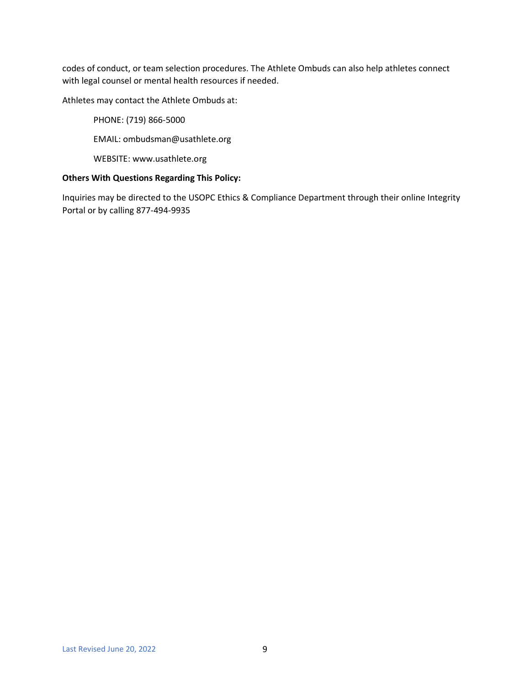codes of conduct, or team selection procedures. The Athlete Ombuds can also help athletes connect with legal counsel or mental health resources if needed.

Athletes may contact the Athlete Ombuds at:

PHONE: (719) 866-5000

EMAIL: ombudsman@usathlete.org

WEBSITE: www.usathlete.org

### **Others With Questions Regarding This Policy:**

Inquiries may be directed to the USOPC Ethics & Compliance Department through their online Integrity Portal or by calling 877-494-9935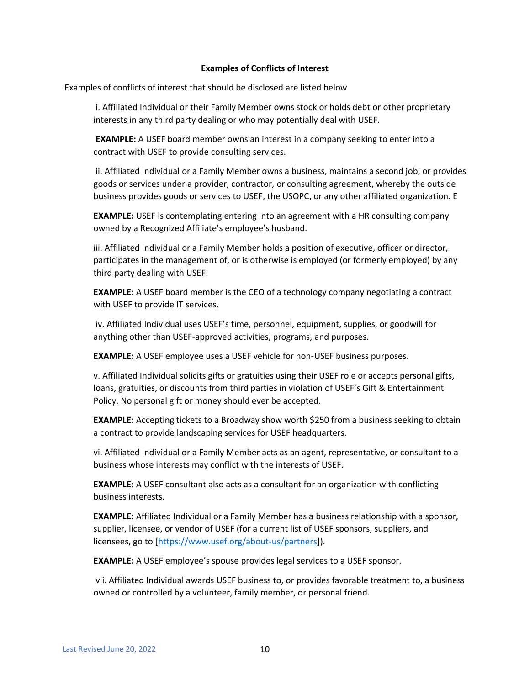### **Examples of Conflicts of Interest**

Examples of conflicts of interest that should be disclosed are listed below

i. Affiliated Individual or their Family Member owns stock or holds debt or other proprietary interests in any third party dealing or who may potentially deal with USEF.

**EXAMPLE:** A USEF board member owns an interest in a company seeking to enter into a contract with USEF to provide consulting services.

ii. Affiliated Individual or a Family Member owns a business, maintains a second job, or provides goods or services under a provider, contractor, or consulting agreement, whereby the outside business provides goods or services to USEF, the USOPC, or any other affiliated organization. E

**EXAMPLE:** USEF is contemplating entering into an agreement with a HR consulting company owned by a Recognized Affiliate's employee's husband.

iii. Affiliated Individual or a Family Member holds a position of executive, officer or director, participates in the management of, or is otherwise is employed (or formerly employed) by any third party dealing with USEF.

**EXAMPLE:** A USEF board member is the CEO of a technology company negotiating a contract with USEF to provide IT services.

iv. Affiliated Individual uses USEF's time, personnel, equipment, supplies, or goodwill for anything other than USEF-approved activities, programs, and purposes.

**EXAMPLE:** A USEF employee uses a USEF vehicle for non-USEF business purposes.

v. Affiliated Individual solicits gifts or gratuities using their USEF role or accepts personal gifts, loans, gratuities, or discounts from third parties in violation of USEF's Gift & Entertainment Policy. No personal gift or money should ever be accepted.

**EXAMPLE:** Accepting tickets to a Broadway show worth \$250 from a business seeking to obtain a contract to provide landscaping services for USEF headquarters.

vi. Affiliated Individual or a Family Member acts as an agent, representative, or consultant to a business whose interests may conflict with the interests of USEF.

**EXAMPLE:** A USEF consultant also acts as a consultant for an organization with conflicting business interests.

**EXAMPLE:** Affiliated Individual or a Family Member has a business relationship with a sponsor, supplier, licensee, or vendor of USEF (for a current list of USEF sponsors, suppliers, and licensees, go to [\[https://www.usef.org/about-us/partners\]](https://www.usef.org/about-us/partners)).

**EXAMPLE:** A USEF employee's spouse provides legal services to a USEF sponsor.

vii. Affiliated Individual awards USEF business to, or provides favorable treatment to, a business owned or controlled by a volunteer, family member, or personal friend.